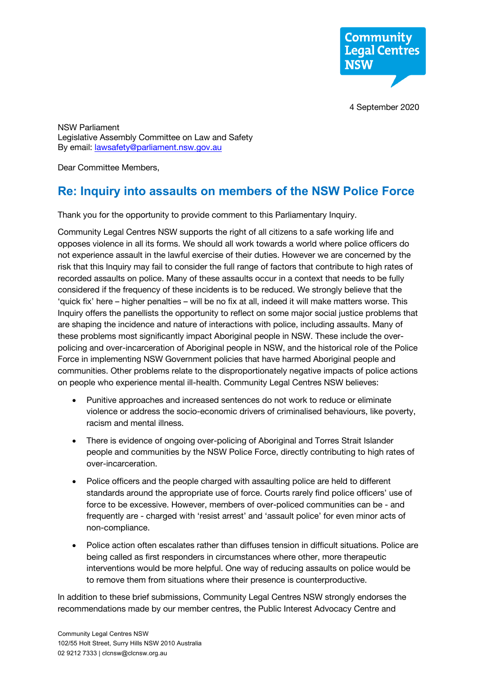

4 September 2020

NSW Parliament Legislative Assembly Committee on Law and Safety By email: lawsafety@parliament.nsw.gov.au

Dear Committee Members,

# **Re: Inquiry into assaults on members of the NSW Police Force**

Thank you for the opportunity to provide comment to this Parliamentary Inquiry.

Community Legal Centres NSW supports the right of all citizens to a safe working life and opposes violence in all its forms. We should all work towards a world where police officers do not experience assault in the lawful exercise of their duties. However we are concerned by the risk that this Inquiry may fail to consider the full range of factors that contribute to high rates of recorded assaults on police. Many of these assaults occur in a context that needs to be fully considered if the frequency of these incidents is to be reduced. We strongly believe that the 'quick fix' here – higher penalties – will be no fix at all, indeed it will make matters worse. This Inquiry offers the panellists the opportunity to reflect on some major social justice problems that are shaping the incidence and nature of interactions with police, including assaults. Many of these problems most significantly impact Aboriginal people in NSW. These include the overpolicing and over-incarceration of Aboriginal people in NSW, and the historical role of the Police Force in implementing NSW Government policies that have harmed Aboriginal people and communities. Other problems relate to the disproportionately negative impacts of police actions on people who experience mental ill-health. Community Legal Centres NSW believes:

- Punitive approaches and increased sentences do not work to reduce or eliminate violence or address the socio-economic drivers of criminalised behaviours, like poverty, racism and mental illness.
- There is evidence of ongoing over-policing of Aboriginal and Torres Strait Islander people and communities by the NSW Police Force, directly contributing to high rates of over-incarceration.
- Police officers and the people charged with assaulting police are held to different standards around the appropriate use of force. Courts rarely find police officers' use of force to be excessive. However, members of over-policed communities can be - and frequently are - charged with 'resist arrest' and 'assault police' for even minor acts of non-compliance.
- Police action often escalates rather than diffuses tension in difficult situations. Police are being called as first responders in circumstances where other, more therapeutic interventions would be more helpful. One way of reducing assaults on police would be to remove them from situations where their presence is counterproductive.

In addition to these brief submissions, Community Legal Centres NSW strongly endorses the recommendations made by our member centres, the Public Interest Advocacy Centre and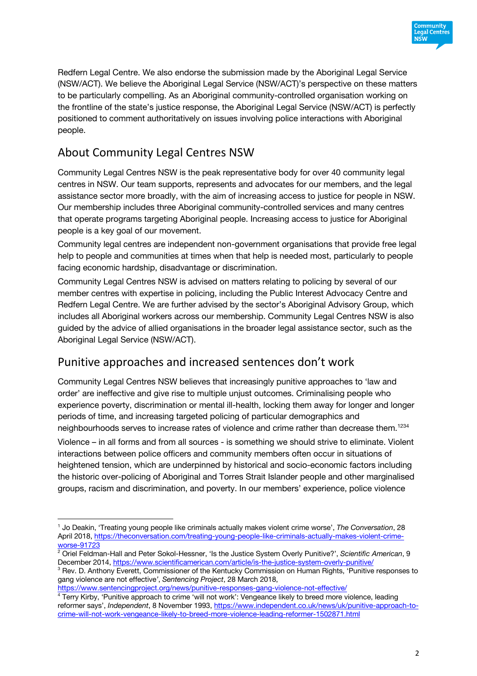

Redfern Legal Centre. We also endorse the submission made by the Aboriginal Legal Service (NSW/ACT). We believe the Aboriginal Legal Service (NSW/ACT)'s perspective on these matters to be particularly compelling. As an Aboriginal community-controlled organisation working on the frontline of the state's justice response, the Aboriginal Legal Service (NSW/ACT) is perfectly positioned to comment authoritatively on issues involving police interactions with Aboriginal people.

# About Community Legal Centres NSW

Community Legal Centres NSW is the peak representative body for over 40 community legal centres in NSW. Our team supports, represents and advocates for our members, and the legal assistance sector more broadly, with the aim of increasing access to justice for people in NSW. Our membership includes three Aboriginal community-controlled services and many centres that operate programs targeting Aboriginal people. Increasing access to justice for Aboriginal people is a key goal of our movement.

Community legal centres are independent non-government organisations that provide free legal help to people and communities at times when that help is needed most, particularly to people facing economic hardship, disadvantage or discrimination.

Community Legal Centres NSW is advised on matters relating to policing by several of our member centres with expertise in policing, including the Public Interest Advocacy Centre and Redfern Legal Centre. We are further advised by the sector's Aboriginal Advisory Group, which includes all Aboriginal workers across our membership. Community Legal Centres NSW is also guided by the advice of allied organisations in the broader legal assistance sector, such as the Aboriginal Legal Service (NSW/ACT).

## Punitive approaches and increased sentences don't work

Community Legal Centres NSW believes that increasingly punitive approaches to 'law and order' are ineffective and give rise to multiple unjust outcomes. Criminalising people who experience poverty, discrimination or mental ill-health, locking them away for longer and longer periods of time, and increasing targeted policing of particular demographics and neighbourhoods serves to increase rates of violence and crime rather than decrease them.<sup>1234</sup>

Violence – in all forms and from all sources - is something we should strive to eliminate. Violent interactions between police officers and community members often occur in situations of heightened tension, which are underpinned by historical and socio-economic factors including the historic over-policing of Aboriginal and Torres Strait Islander people and other marginalised groups, racism and discrimination, and poverty. In our members' experience, police violence

<sup>1</sup> Jo Deakin, 'Treating young people like criminals actually makes violent crime worse', *The Conversation*, 28 April 2018, https://theconversation.com/treating-young-people-like-criminals-actually-makes-violent-crimeworse-91723

<sup>2</sup> Oriel Feldman-Hall and Peter Sokol-Hessner, 'Is the Justice System Overly Punitive?', *Scientific American*, 9 December 2014, https://www.scientificamerican.com/article/is-the-justice-system-overly-punitive/

<sup>&</sup>lt;sup>3</sup> Rev. D. Anthony Everett, Commissioner of the Kentucky Commission on Human Rights, 'Punitive responses to gang violence are not effective*'*, *Sentencing Project*, 28 March 2018,

https://www.sentencingproject.org/news/punitive-responses-gang-violence-not-effective/

<sup>&</sup>lt;sup>4</sup> Terry Kirby, 'Punitive approach to crime 'will not work': Vengeance likely to breed more violence, leading reformer says', *Independent*, 8 November 1993, https://www.independent.co.uk/news/uk/punitive-approach-tocrime-will-not-work-vengeance-likely-to-breed-more-violence-leading-reformer-1502871.html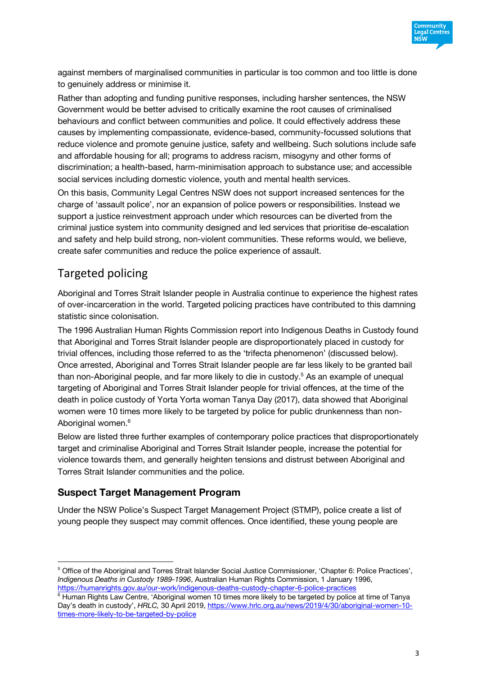

against members of marginalised communities in particular is too common and too little is done to genuinely address or minimise it.

Rather than adopting and funding punitive responses, including harsher sentences, the NSW Government would be better advised to critically examine the root causes of criminalised behaviours and conflict between communities and police. It could effectively address these causes by implementing compassionate, evidence-based, community-focussed solutions that reduce violence and promote genuine justice, safety and wellbeing. Such solutions include safe and affordable housing for all; programs to address racism, misogyny and other forms of discrimination; a health-based, harm-minimisation approach to substance use; and accessible social services including domestic violence, youth and mental health services.

On this basis, Community Legal Centres NSW does not support increased sentences for the charge of 'assault police', nor an expansion of police powers or responsibilities. Instead we support a justice reinvestment approach under which resources can be diverted from the criminal justice system into community designed and led services that prioritise de-escalation and safety and help build strong, non-violent communities. These reforms would, we believe, create safer communities and reduce the police experience of assault.

# Targeted policing

Aboriginal and Torres Strait Islander people in Australia continue to experience the highest rates of over-incarceration in the world. Targeted policing practices have contributed to this damning statistic since colonisation.

The 1996 Australian Human Rights Commission report into Indigenous Deaths in Custody found that Aboriginal and Torres Strait Islander people are disproportionately placed in custody for trivial offences, including those referred to as the 'trifecta phenomenon' (discussed below). Once arrested, Aboriginal and Torres Strait Islander people are far less likely to be granted bail than non-Aboriginal people, and far more likely to die in custody.<sup>5</sup> As an example of unequal targeting of Aboriginal and Torres Strait Islander people for trivial offences, at the time of the death in police custody of Yorta Yorta woman Tanya Day (2017), data showed that Aboriginal women were 10 times more likely to be targeted by police for public drunkenness than non-Aboriginal women.<sup>6</sup>

Below are listed three further examples of contemporary police practices that disproportionately target and criminalise Aboriginal and Torres Strait Islander people, increase the potential for violence towards them, and generally heighten tensions and distrust between Aboriginal and Torres Strait Islander communities and the police.

### **Suspect Target Management Program**

Under the NSW Police's Suspect Target Management Project (STMP), police create a list of young people they suspect may commit offences. Once identified, these young people are

<sup>5</sup> Office of the Aboriginal and Torres Strait Islander Social Justice Commissioner, 'Chapter 6: Police Practices', *Indigenous Deaths in Custody 1989-1996*, Australian Human Rights Commission, 1 January 1996, https://humanrights.gov.au/our-work/indigenous-deaths-custody-chapter-6-police-practices

<sup>&</sup>lt;sup>6</sup> Human Rights Law Centre, 'Aboriginal women 10 times more likely to be targeted by police at time of Tanya Day's death in custody', *HRLC,* 30 April 2019, https://www.hrlc.org.au/news/2019/4/30/aboriginal-women-10 times-more-likely-to-be-targeted-by-police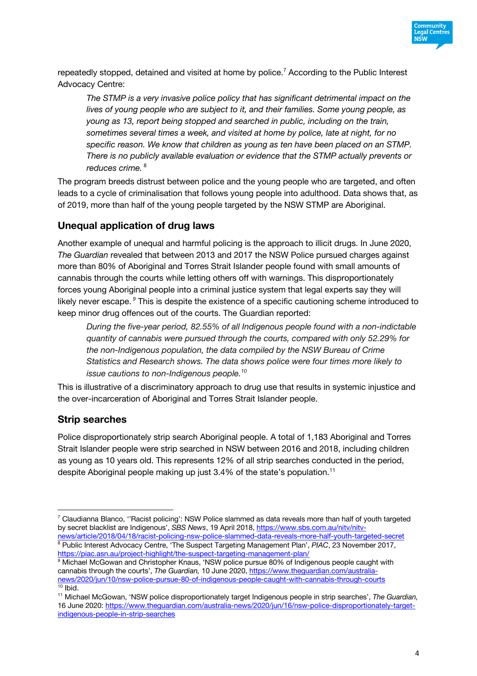

repeatedly stopped, detained and visited at home by police.<sup>7</sup> According to the Public Interest Advocacy Centre:

*The STMP is a very invasive police policy that has significant detrimental impact on the lives of young people who are subject to it, and their families. Some young people, as young as 13, report being stopped and searched in public, including on the train, sometimes several times a week, and visited at home by police, late at night, for no specific reason. We know that children as young as ten have been placed on an STMP. There is no publicly available evaluation or evidence that the STMP actually prevents or reduces crime.* <sup>8</sup>

The program breeds distrust between police and the young people who are targeted, and often leads to a cycle of criminalisation that follows young people into adulthood. Data shows that, as of 2019, more than half of the young people targeted by the NSW STMP are Aboriginal.

### **Unequal application of drug laws**

Another example of unequal and harmful policing is the approach to illicit drugs. In June 2020, *The Guardian* revealed that between 2013 and 2017 the NSW Police pursued charges against more than 80% of Aboriginal and Torres Strait Islander people found with small amounts of cannabis through the courts while letting others off with warnings. This disproportionately forces young Aboriginal people into a criminal justice system that legal experts say they will likely never escape. *<sup>9</sup>* This is despite the existence of a specific cautioning scheme introduced to keep minor drug offences out of the courts. The Guardian reported:

*During the five-year period, 82.55% of all Indigenous people found with a non-indictable quantity of cannabis were pursued through the courts, compared with only 52.29% for the non-Indigenous population, the data compiled by the NSW Bureau of Crime Statistics and Research shows. The data shows police were four times more likely to issue cautions to non-Indigenous people.10*

This is illustrative of a discriminatory approach to drug use that results in systemic injustice and the over-incarceration of Aboriginal and Torres Strait Islander people.

#### **Strip searches**

Police disproportionately strip search Aboriginal people. A total of 1,183 Aboriginal and Torres Strait Islander people were strip searched in NSW between 2016 and 2018, including children as young as 10 years old. This represents 12% of all strip searches conducted in the period, despite Aboriginal people making up just 3.4% of the state's population.<sup>11</sup>

 $7$  Claudianna Blanco, "Racist policing": NSW Police slammed as data reveals more than half of youth targeted by secret blacklist are Indigenous', *SBS News*, 19 April 2018, https://www.sbs.com.au/nitv/nitvnews/article/2018/04/18/racist-policing-nsw-police-slammed-data-reveals-more-half-youth-targeted-secret

<sup>&</sup>lt;sup>8</sup> Public Interest Advocacy Centre, 'The Suspect Targeting Management Plan', PIAC, 23 November 2017, https://piac.asn.au/project-highlight/the-suspect-targeting-management-plan/

<sup>&</sup>lt;sup>9</sup> Michael McGowan and Christopher Knaus, 'NSW police pursue 80% of Indigenous people caught with cannabis through the courts', *The Guardian,* 10 June 2020, https://www.theguardian.com/australianews/2020/jun/10/nsw-police-pursue-80-of-indigenous-people-caught-with-cannabis-through-courts  $10$  Ibid.

<sup>11</sup> Michael McGowan, 'NSW police disproportionately target Indigenous people in strip searches', *The Guardian,*  16 June 2020: https://www.theguardian.com/australia-news/2020/jun/16/nsw-police-disproportionately-targetindigenous-people-in-strip-searches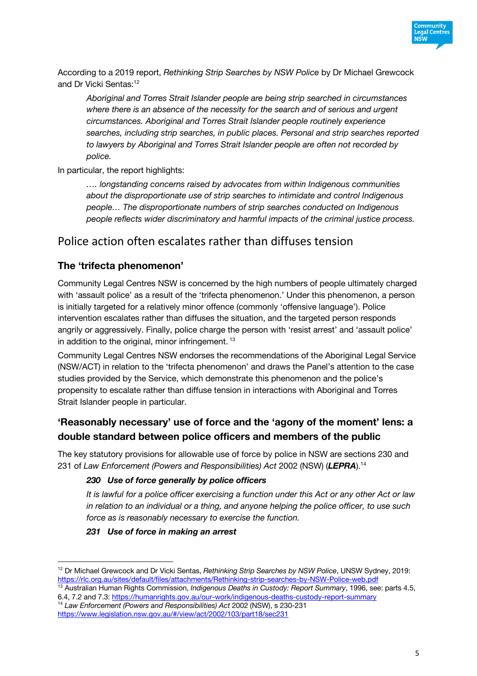

According to a 2019 report, *Rethinking Strip Searches by NSW Police* by Dr Michael Grewcock and Dr Vicki Sentas:<sup>12</sup>

*Aboriginal and Torres Strait Islander people are being strip searched in circumstances where there is an absence of the necessity for the search and of serious and urgent circumstances. Aboriginal and Torres Strait Islander people routinely experience searches, including strip searches, in public places. Personal and strip searches reported to lawyers by Aboriginal and Torres Strait Islander people are often not recorded by police.* 

In particular, the report highlights:

*…. longstanding concerns raised by advocates from within Indigenous communities about the disproportionate use of strip searches to intimidate and control Indigenous people… The disproportionate numbers of strip searches conducted on Indigenous people reflects wider discriminatory and harmful impacts of the criminal justice process.*

## Police action often escalates rather than diffuses tension

### **The 'trifecta phenomenon'**

Community Legal Centres NSW is concerned by the high numbers of people ultimately charged with 'assault police' as a result of the 'trifecta phenomenon.' Under this phenomenon, a person is initially targeted for a relatively minor offence (commonly 'offensive language'). Police intervention escalates rather than diffuses the situation, and the targeted person responds angrily or aggressively. Finally, police charge the person with 'resist arrest' and 'assault police' in addition to the original, minor infringement.<sup>13</sup>

Community Legal Centres NSW endorses the recommendations of the Aboriginal Legal Service (NSW/ACT) in relation to the 'trifecta phenomenon' and draws the Panel's attention to the case studies provided by the Service, which demonstrate this phenomenon and the police's propensity to escalate rather than diffuse tension in interactions with Aboriginal and Torres Strait Islander people in particular.

### **'Reasonably necessary' use of force and the 'agony of the moment' lens: a double standard between police officers and members of the public**

The key statutory provisions for allowable use of force by police in NSW are sections 230 and 231 of *Law Enforcement (Powers and Responsibilities) Act* 2002 (NSW) (*LEPRA*). 14

#### *230 Use of force generally by police officers*

*It is lawful for a police officer exercising a function under this Act or any other Act or law in relation to an individual or a thing, and anyone helping the police officer, to use such force as is reasonably necessary to exercise the function.*

#### *231 Use of force in making an arrest*

<sup>12</sup> Dr Michael Grewcock and Dr Vicki Sentas, *Rethinking Strip Searches by NSW Police*, UNSW Sydney, 2019: https://rlc.org.au/sites/default/files/attachments/Rethinking-strip-searches-by-NSW-Police-web.pdf

<sup>13</sup> Australian Human Rights Commission, *Indigenous Deaths in Custody: Report Summary*, 1996, see: parts 4.5, 6.4, 7.2 and 7.3: https://humanrights.gov.au/our-work/indigenous-deaths-custody-report-summary

<sup>14</sup> *Law Enforcement (Powers and Responsibilities) Act* 2002 (NSW), s 230-231 https://www.legislation.nsw.gov.au/#/view/act/2002/103/part18/sec231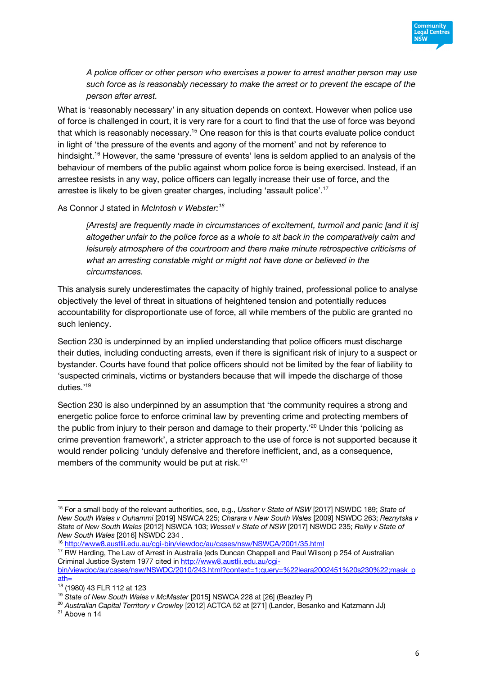

*A police officer or other person who exercises a power to arrest another person may use such force as is reasonably necessary to make the arrest or to prevent the escape of the person after arrest.*

What is 'reasonably necessary' in any situation depends on context. However when police use of force is challenged in court, it is very rare for a court to find that the use of force was beyond that which is reasonably necessary.<sup>15</sup> One reason for this is that courts evaluate police conduct in light of 'the pressure of the events and agony of the moment' and not by reference to hindsight.<sup>16</sup> However, the same 'pressure of events' lens is seldom applied to an analysis of the behaviour of members of the public against whom police force is being exercised. Instead, if an arrestee resists in any way, police officers can legally increase their use of force, and the arrestee is likely to be given greater charges, including 'assault police'. 17

As Connor J stated in *McIntosh v Webster:18*

*[Arrests] are frequently made in circumstances of excitement, turmoil and panic [and it is] altogether unfair to the police force as a whole to sit back in the comparatively calm and leisurely atmosphere of the courtroom and there make minute retrospective criticisms of what an arresting constable might or might not have done or believed in the circumstances.*

This analysis surely underestimates the capacity of highly trained, professional police to analyse objectively the level of threat in situations of heightened tension and potentially reduces accountability for disproportionate use of force, all while members of the public are granted no such leniency.

Section 230 is underpinned by an implied understanding that police officers must discharge their duties, including conducting arrests, even if there is significant risk of injury to a suspect or bystander. Courts have found that police officers should not be limited by the fear of liability to 'suspected criminals, victims or bystanders because that will impede the discharge of those duties.'19

Section 230 is also underpinned by an assumption that 'the community requires a strong and energetic police force to enforce criminal law by preventing crime and protecting members of the public from injury to their person and damage to their property.<sup>20</sup> Under this 'policing as crime prevention framework', a stricter approach to the use of force is not supported because it would render policing 'unduly defensive and therefore inefficient, and, as a consequence, members of the community would be put at risk.<sup>'21</sup>

<sup>15</sup> For a small body of the relevant authorities, see, e.g., *Ussher v State of NSW* [2017] NSWDC 189; *State of New South Wales v Ouhammi* [2019] NSWCA 225; *Charara v New South Wales* [2009] NSWDC 263; *Reznytska v State of New South Wales* [2012] NSWCA 103; *Wessell v State of NSW* [2017] NSWDC 235; *Reilly v State of New South Wales* [2016] NSWDC 234 .

<sup>16</sup> http://www8.austlii.edu.au/cgi-bin/viewdoc/au/cases/nsw/NSWCA/2001/35.html

<sup>&</sup>lt;sup>17</sup> RW Harding, The Law of Arrest in Australia (eds Duncan Chappell and Paul Wilson) p 254 of Australian Criminal Justice System 1977 cited in http://www8.austlii.edu.au/cgi-

bin/viewdoc/au/cases/nsw/NSWDC/2010/243.html?context=1;query=%22leara2002451%20s230%22;mask\_p ath=

 $18$  (1980) 43 FLR 112 at 123

<sup>19</sup> *State of New South Wales v McMaster* [2015] NSWCA 228 at [26] (Beazley P)

<sup>20</sup> *Australian Capital Territory v Crowley* [2012] ACTCA 52 at [271] (Lander, Besanko and Katzmann JJ)

 $21$  Above n 14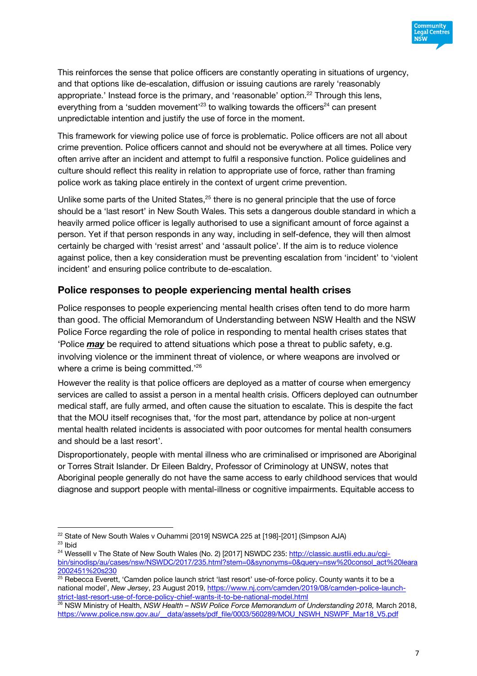

This reinforces the sense that police officers are constantly operating in situations of urgency, and that options like de-escalation, diffusion or issuing cautions are rarely 'reasonably appropriate.' Instead force is the primary, and 'reasonable' option.<sup>22</sup> Through this lens, everything from a 'sudden movement'<sup>23</sup> to walking towards the officers<sup>24</sup> can present unpredictable intention and justify the use of force in the moment.

This framework for viewing police use of force is problematic. Police officers are not all about crime prevention. Police officers cannot and should not be everywhere at all times. Police very often arrive after an incident and attempt to fulfil a responsive function. Police guidelines and culture should reflect this reality in relation to appropriate use of force, rather than framing police work as taking place entirely in the context of urgent crime prevention.

Unlike some parts of the United States,<sup>25</sup> there is no general principle that the use of force should be a 'last resort' in New South Wales. This sets a dangerous double standard in which a heavily armed police officer is legally authorised to use a significant amount of force against a person. Yet if that person responds in any way, including in self-defence, they will then almost certainly be charged with 'resist arrest' and 'assault police'. If the aim is to reduce violence against police, then a key consideration must be preventing escalation from 'incident' to 'violent incident' and ensuring police contribute to de-escalation.

#### **Police responses to people experiencing mental health crises**

Police responses to people experiencing mental health crises often tend to do more harm than good. The official Memorandum of Understanding between NSW Health and the NSW Police Force regarding the role of police in responding to mental health crises states that 'Police *may* be required to attend situations which pose a threat to public safety, e.g. involving violence or the imminent threat of violence, or where weapons are involved or where a crime is being committed."<sup>26</sup>

However the reality is that police officers are deployed as a matter of course when emergency services are called to assist a person in a mental health crisis. Officers deployed can outnumber medical staff, are fully armed, and often cause the situation to escalate. This is despite the fact that the MOU itself recognises that, 'for the most part, attendance by police at non-urgent mental health related incidents is associated with poor outcomes for mental health consumers and should be a last resort'.

Disproportionately, people with mental illness who are criminalised or imprisoned are Aboriginal or Torres Strait Islander. Dr Eileen Baldry, Professor of Criminology at UNSW, notes that Aboriginal people generally do not have the same access to early childhood services that would diagnose and support people with mental-illness or cognitive impairments. Equitable access to

<sup>&</sup>lt;sup>22</sup> State of New South Wales v Ouhammi [2019] NSWCA 225 at [198]-[201] (Simpson AJA) <sup>23</sup> Ibid

<sup>&</sup>lt;sup>24</sup> Wesselll v The State of New South Wales (No. 2) [2017] NSWDC 235: http://classic.austlii.edu.au/cgibin/sinodisp/au/cases/nsw/NSWDC/2017/235.html?stem=0&synonyms=0&query=nsw%20consol\_act%20leara 2002451%20s230

<sup>25</sup> Rebecca Everett, 'Camden police launch strict 'last resort' use-of-force policy. County wants it to be a national model', *New Jersey*, 23 August 2019, https://www.nj.com/camden/2019/08/camden-police-launchstrict-last-resort-use-of-force-policy-chief-wants-it-to-be-national-model.html

<sup>26</sup> NSW Ministry of Health, *NSW Health – NSW Police Force Memorandum of Understanding 2018,* March 2018, https://www.police.nsw.gov.au/\_\_data/assets/pdf\_file/0003/560289/MOU\_NSWH\_NSWPF\_Mar18\_V5.pdf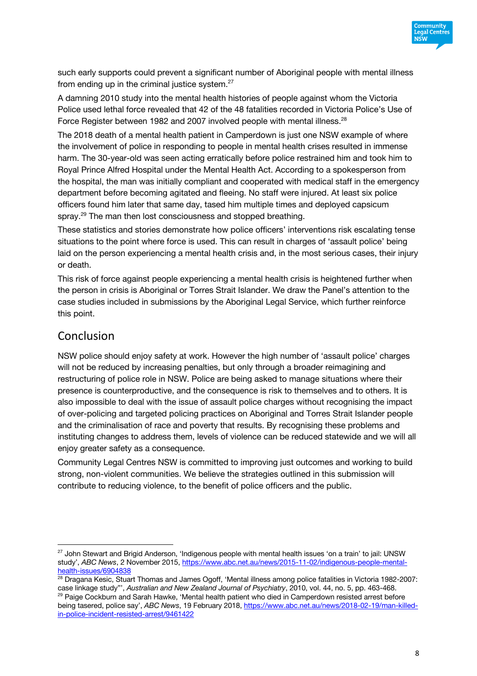

such early supports could prevent a significant number of Aboriginal people with mental illness from ending up in the criminal justice system.<sup>27</sup>

A damning 2010 study into the mental health histories of people against whom the Victoria Police used lethal force revealed that 42 of the 48 fatalities recorded in Victoria Police's Use of Force Register between 1982 and 2007 involved people with mental illness.<sup>28</sup>

The 2018 death of a mental health patient in Camperdown is just one NSW example of where the involvement of police in responding to people in mental health crises resulted in immense harm. The 30-year-old was seen acting erratically before police restrained him and took him to Royal Prince Alfred Hospital under the Mental Health Act. According to a spokesperson from the hospital, the man was initially compliant and cooperated with medical staff in the emergency department before becoming agitated and fleeing. No staff were injured. At least six police officers found him later that same day, tased him multiple times and deployed capsicum spray.<sup>29</sup> The man then lost consciousness and stopped breathing.

These statistics and stories demonstrate how police officers' interventions risk escalating tense situations to the point where force is used. This can result in charges of 'assault police' being laid on the person experiencing a mental health crisis and, in the most serious cases, their injury or death.

This risk of force against people experiencing a mental health crisis is heightened further when the person in crisis is Aboriginal or Torres Strait Islander. We draw the Panel's attention to the case studies included in submissions by the Aboriginal Legal Service, which further reinforce this point.

### Conclusion

NSW police should enjoy safety at work. However the high number of 'assault police' charges will not be reduced by increasing penalties, but only through a broader reimagining and restructuring of police role in NSW. Police are being asked to manage situations where their presence is counterproductive, and the consequence is risk to themselves and to others. It is also impossible to deal with the issue of assault police charges without recognising the impact of over-policing and targeted policing practices on Aboriginal and Torres Strait Islander people and the criminalisation of race and poverty that results. By recognising these problems and instituting changes to address them, levels of violence can be reduced statewide and we will all enjoy greater safety as a consequence.

Community Legal Centres NSW is committed to improving just outcomes and working to build strong, non-violent communities. We believe the strategies outlined in this submission will contribute to reducing violence, to the benefit of police officers and the public.

<sup>&</sup>lt;sup>27</sup> John Stewart and Brigid Anderson, 'Indigenous people with mental health issues 'on a train' to jail: UNSW study', *ABC News*, 2 November 2015, https://www.abc.net.au/news/2015-11-02/indigenous-people-mentalhealth-issues/6904838

<sup>&</sup>lt;sup>28</sup> Dragana Kesic, Stuart Thomas and James Ogoff, 'Mental illness among police fatalities in Victoria 1982-2007: case linkage study"', *Australian and New Zealand Journal of Psychiatry*, 2010, vol. 44, no. 5, pp. 463-468. <sup>29</sup> Paige Cockburn and Sarah Hawke, 'Mental health patient who died in Camperdown resisted arrest before being tasered, police say', *ABC News*, 19 February 2018, https://www.abc.net.au/news/2018-02-19/man-killedin-police-incident-resisted-arrest/9461422